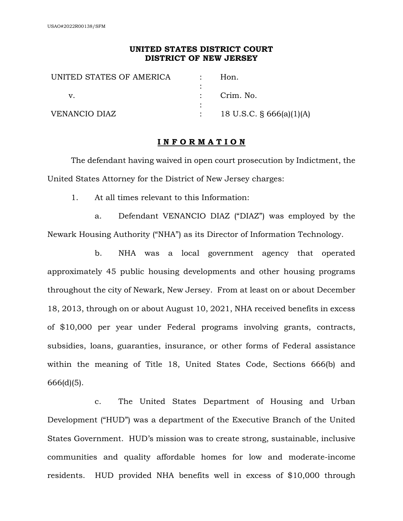## **UNITED STATES DISTRICT COURT DISTRICT OF NEW JERSEY**

| UNITED STATES OF AMERICA | Hon.                        |
|--------------------------|-----------------------------|
|                          |                             |
|                          | Crim. No.                   |
|                          |                             |
| <b>VENANCIO DIAZ</b>     | 18 U.S.C. $\S$ 666(a)(1)(A) |

## **I N F O R M A T I O N**

The defendant having waived in open court prosecution by Indictment, the United States Attorney for the District of New Jersey charges:

1. At all times relevant to this Information:

a. Defendant VENANCIO DIAZ ("DIAZ") was employed by the Newark Housing Authority ("NHA") as its Director of Information Technology.

b. NHA was a local government agency that operated approximately 45 public housing developments and other housing programs throughout the city of Newark, New Jersey. From at least on or about December 18, 2013, through on or about August 10, 2021, NHA received benefits in excess of \$10,000 per year under Federal programs involving grants, contracts, subsidies, loans, guaranties, insurance, or other forms of Federal assistance within the meaning of Title 18, United States Code, Sections 666(b) and 666(d)(5).

c. The United States Department of Housing and Urban Development ("HUD") was a department of the Executive Branch of the United States Government. HUD's mission was to create strong, sustainable, inclusive communities and quality affordable homes for low and moderate-income residents. HUD provided NHA benefits well in excess of \$10,000 through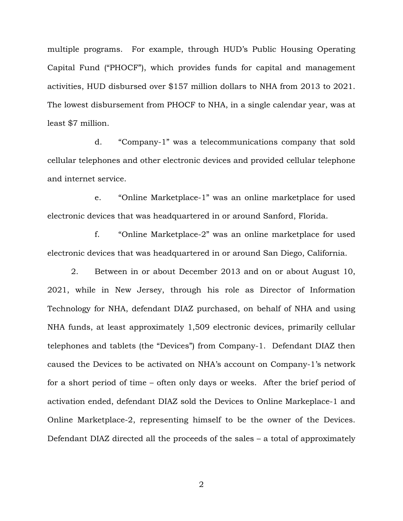multiple programs. For example, through HUD's Public Housing Operating Capital Fund ("PHOCF"), which provides funds for capital and management activities, HUD disbursed over \$157 million dollars to NHA from 2013 to 2021. The lowest disbursement from PHOCF to NHA, in a single calendar year, was at least \$7 million.

d. "Company-1" was a telecommunications company that sold cellular telephones and other electronic devices and provided cellular telephone and internet service.

e. "Online Marketplace-1" was an online marketplace for used electronic devices that was headquartered in or around Sanford, Florida.

f. "Online Marketplace-2" was an online marketplace for used electronic devices that was headquartered in or around San Diego, California.

2. Between in or about December 2013 and on or about August 10, 2021, while in New Jersey, through his role as Director of Information Technology for NHA, defendant DIAZ purchased, on behalf of NHA and using NHA funds, at least approximately 1,509 electronic devices, primarily cellular telephones and tablets (the "Devices") from Company-1. Defendant DIAZ then caused the Devices to be activated on NHA's account on Company-1's network for a short period of time – often only days or weeks. After the brief period of activation ended, defendant DIAZ sold the Devices to Online Markeplace-1 and Online Marketplace-2, representing himself to be the owner of the Devices. Defendant DIAZ directed all the proceeds of the sales – a total of approximately

2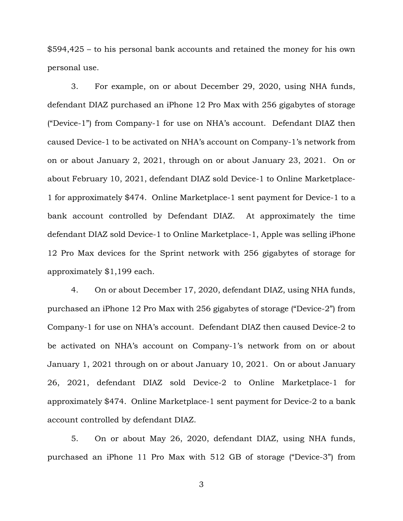\$594,425 – to his personal bank accounts and retained the money for his own personal use.

3. For example, on or about December 29, 2020, using NHA funds, defendant DIAZ purchased an iPhone 12 Pro Max with 256 gigabytes of storage ("Device-1") from Company-1 for use on NHA's account. Defendant DIAZ then caused Device-1 to be activated on NHA's account on Company-1's network from on or about January 2, 2021, through on or about January 23, 2021. On or about February 10, 2021, defendant DIAZ sold Device-1 to Online Marketplace-1 for approximately \$474. Online Marketplace-1 sent payment for Device-1 to a bank account controlled by Defendant DIAZ. At approximately the time defendant DIAZ sold Device-1 to Online Marketplace-1, Apple was selling iPhone 12 Pro Max devices for the Sprint network with 256 gigabytes of storage for approximately \$1,199 each.

4. On or about December 17, 2020, defendant DIAZ, using NHA funds, purchased an iPhone 12 Pro Max with 256 gigabytes of storage ("Device-2") from Company-1 for use on NHA's account. Defendant DIAZ then caused Device-2 to be activated on NHA's account on Company-1's network from on or about January 1, 2021 through on or about January 10, 2021. On or about January 26, 2021, defendant DIAZ sold Device-2 to Online Marketplace-1 for approximately \$474. Online Marketplace-1 sent payment for Device-2 to a bank account controlled by defendant DIAZ.

5. On or about May 26, 2020, defendant DIAZ, using NHA funds, purchased an iPhone 11 Pro Max with 512 GB of storage ("Device-3") from

3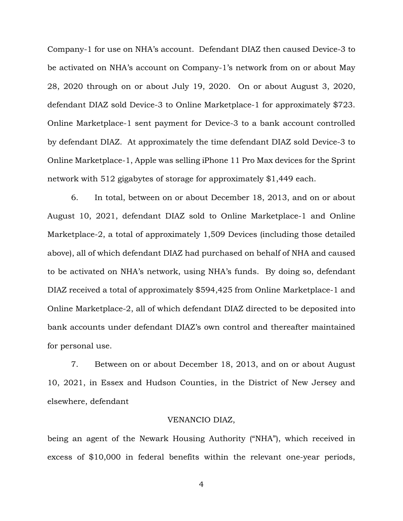Company-1 for use on NHA's account. Defendant DIAZ then caused Device-3 to be activated on NHA's account on Company-1's network from on or about May 28, 2020 through on or about July 19, 2020. On or about August 3, 2020, defendant DIAZ sold Device-3 to Online Marketplace-1 for approximately \$723. Online Marketplace-1 sent payment for Device-3 to a bank account controlled by defendant DIAZ. At approximately the time defendant DIAZ sold Device-3 to Online Marketplace-1, Apple was selling iPhone 11 Pro Max devices for the Sprint network with 512 gigabytes of storage for approximately \$1,449 each.

6. In total, between on or about December 18, 2013, and on or about August 10, 2021, defendant DIAZ sold to Online Marketplace-1 and Online Marketplace-2, a total of approximately 1,509 Devices (including those detailed above), all of which defendant DIAZ had purchased on behalf of NHA and caused to be activated on NHA's network, using NHA's funds. By doing so, defendant DIAZ received a total of approximately \$594,425 from Online Marketplace-1 and Online Marketplace-2, all of which defendant DIAZ directed to be deposited into bank accounts under defendant DIAZ's own control and thereafter maintained for personal use.

7. Between on or about December 18, 2013, and on or about August 10, 2021, in Essex and Hudson Counties, in the District of New Jersey and elsewhere, defendant

## VENANCIO DIAZ,

being an agent of the Newark Housing Authority ("NHA"), which received in excess of \$10,000 in federal benefits within the relevant one-year periods,

4